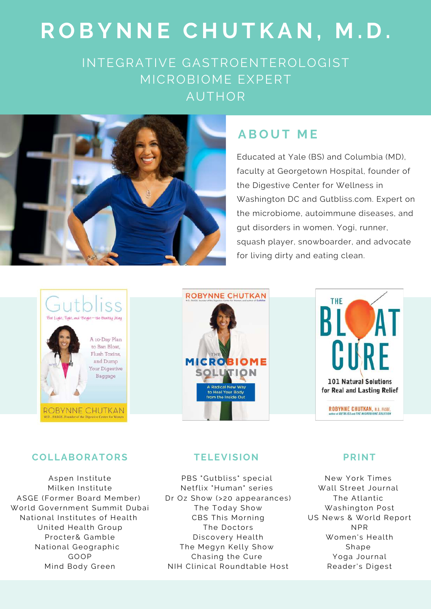## **R O B Y N N E C H U T K A N , M . D .**

INTEGRATIVE GASTROENTEROLOGIST MICROBIOME EXPERT AUTHOR



### **A B O U T M E**

Educated at Yale (BS) and Columbia (MD), faculty at Georgetown Hospital, founder of the Digestive Center for Wellness in Washington DC and Gutbliss.com. Expert on the microbiome, autoimmune diseases, and gut disorders in women. Yogi, runner, squash player, snowboarder, and advocate for living dirty and eating clean.







#### **COLLABORA TORS**

Aspen Institute Milken Institute ASGE (Former Board Member) World Government Summit Dubai National Institutes of Health United Health Group Procter& Gamble National Geographic GOOP Mind Body Green

#### **TELEVI SION**

PBS "Gutbliss" special Netflix "Human" series Dr Oz Show (>20 appearances) The Today Show CBS This Morning The Doctors Discovery Health The Megyn Kelly Show Chasing the Cure NIH Clinical Roundtable Host

#### **P RINT**

New York Times Wall Street Journal The Atlantic Washington Post US News & World Report NPR Women's Health Shape Yoga Journal Reader's Digest